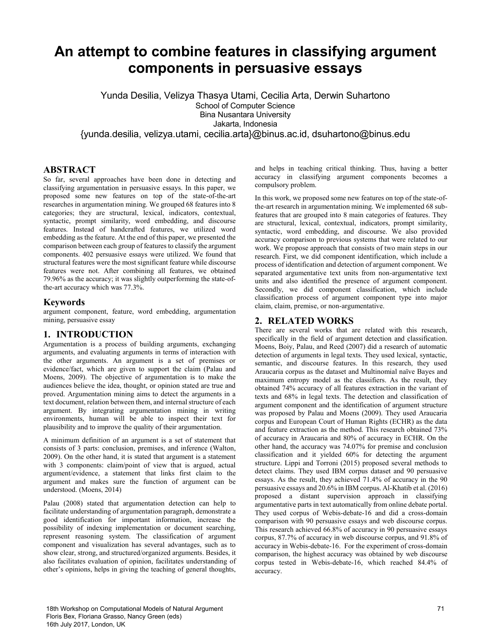# **An attempt to combine features in classifying argument components in persuasive essays**

Yunda Desilia, Velizya Thasya Utami, Cecilia Arta, Derwin Suhartono School of Computer Science Bina Nusantara University Jakarta, Indonesia {yunda.desilia, velizya.utami, cecilia.arta}@binus.ac.id, dsuhartono@binus.edu

#### **ABSTRACT**

So far, several approaches have been done in detecting and classifying argumentation in persuasive essays. In this paper, we proposed some new features on top of the state-of-the-art researches in argumentation mining. We grouped 68 features into 8 categories; they are structural, lexical, indicators, contextual, syntactic, prompt similarity, word embedding, and discourse features. Instead of handcrafted features, we utilized word embedding as the feature. At the end of this paper, we presented the comparison between each group of features to classify the argument components. 402 persuasive essays were utilized. We found that structural features were the most significant feature while discourse features were not. After combining all features, we obtained 79.96% as the accuracy; it was slightly outperforming the state-ofthe-art accuracy which was 77.3%.

#### **Keywords**

argument component, feature, word embedding, argumentation mining, persuasive essay

#### **1. INTRODUCTION**

Argumentation is a process of building arguments, exchanging arguments, and evaluating arguments in terms of interaction with the other arguments. An argument is a set of premises or evidence/fact, which are given to support the claim (Palau and Moens, 2009). The objective of argumentation is to make the audiences believe the idea, thought, or opinion stated are true and proved. Argumentation mining aims to detect the arguments in a text document, relation between them, and internal structure of each argument. By integrating argumentation mining in writing environments, human will be able to inspect their text for plausibility and to improve the quality of their argumentation.

A minimum definition of an argument is a set of statement that consists of 3 parts: conclusion, premises, and inference (Walton, 2009). On the other hand, it is stated that argument is a statement with 3 components: claim/point of view that is argued, actual argument/evidence, a statement that links first claim to the argument and makes sure the function of argument can be understood. (Moens, 2014)

Palau (2008) stated that argumentation detection can help to facilitate understanding of argumentation paragraph, demonstrate a good identification for important information, increase the possibility of indexing implementation or document searching, represent reasoning system. The classification of argument component and visualization has several advantages, such as to show clear, strong, and structured/organized arguments. Besides, it also facilitates evaluation of opinion, facilitates understanding of other's opinions, helps in giving the teaching of general thoughts,

and helps in teaching critical thinking. Thus, having a better accuracy in classifying argument components becomes a compulsory problem.

In this work, we proposed some new features on top of the state-ofthe-art research in argumentation mining. We implemented 68 subfeatures that are grouped into 8 main categories of features. They are structural, lexical, contextual, indicators, prompt similarity, syntactic, word embedding, and discourse. We also provided accuracy comparison to previous systems that were related to our work. We propose approach that consists of two main steps in our research. First, we did component identification, which include a process of identification and detection of argument component. We separated argumentative text units from non-argumentative text units and also identified the presence of argument component. Secondly, we did component classification, which include classification process of argument component type into major claim, claim, premise, or non-argumentative.

#### **2. RELATED WORKS**

There are several works that are related with this research, specifically in the field of argument detection and classification. Moens, Boiy, Palau, and Reed (2007) did a research of automatic detection of arguments in legal texts. They used lexical, syntactic, semantic, and discourse features. In this research, they used Araucaria corpus as the dataset and Multinomial naïve Bayes and maximum entropy model as the classifiers. As the result, they obtained 74% accuracy of all features extraction in the variant of texts and 68% in legal texts. The detection and classification of argument component and the identification of argument structure was proposed by Palau and Moens (2009). They used Araucaria corpus and European Court of Human Rights (ECHR) as the data and feature extraction as the method. This research obtained 73% of accuracy in Araucaria and 80% of accuracy in ECHR. On the other hand, the accuracy was 74.07% for premise and conclusion classification and it yielded 60% for detecting the argument structure. Lippi and Torroni (2015) proposed several methods to detect claims. They used IBM corpus dataset and 90 persuasive essays. As the result, they achieved 71.4% of accuracy in the 90 persuasive essays and 20.6% in IBM corpus. Al-Khatib et al. (2016) proposed a distant supervision approach in classifying argumentative parts in text automatically from online debate portal. They used corpus of Webis-debate-16 and did a cross-domain comparison with 90 persuasive essays and web discourse corpus. This research achieved 66.8% of accuracy in 90 persuasive essays corpus, 87.7% of accuracy in web discourse corpus, and 91.8% of accuracy in Webis-debate-16. For the experiment of cross-domain comparison, the highest accuracy was obtained by web discourse corpus tested in Webis-debate-16, which reached 84.4% of accuracy.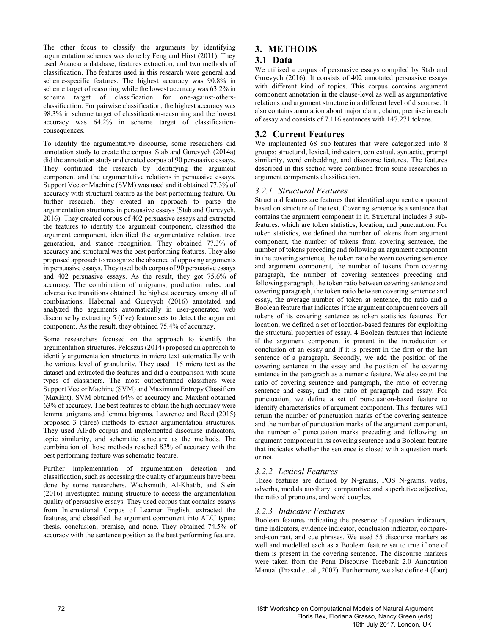The other focus to classify the arguments by identifying argumentation schemes was done by Feng and Hirst (2011). They used Araucaria database, features extraction, and two methods of classification. The features used in this research were general and scheme-specific features. The highest accuracy was 90.8% in scheme target of reasoning while the lowest accuracy was 63.2% in scheme target of classification for one-against-othersclassification. For pairwise classification, the highest accuracy was 98.3% in scheme target of classification-reasoning and the lowest accuracy was 64.2% in scheme target of classificationconsequences.

To identify the argumentative discourse, some researchers did annotation study to create the corpus. Stab and Gurevych (2014a) did the annotation study and created corpus of 90 persuasive essays. They continued the research by identifying the argument component and the argumentative relations in persuasive essays. Support Vector Machine (SVM) was used and it obtained 77.3% of accuracy with structural feature as the best performing feature. On further research, they created an approach to parse the argumentation structures in persuasive essays (Stab and Gurevych, 2016). They created corpus of 402 persuasive essays and extracted the features to identify the argument component, classified the argument component, identified the argumentative relation, tree generation, and stance recognition. They obtained 77.3% of accuracy and structural was the best performing features. They also proposed approach to recognize the absence of opposing arguments in persuasive essays. They used both corpus of 90 persuasive essays and 402 persuasive essays. As the result, they got 75.6% of accuracy. The combination of unigrams, production rules, and adversative transitions obtained the highest accuracy among all of combinations. Habernal and Gurevych (2016) annotated and analyzed the arguments automatically in user-generated web discourse by extracting 5 (five) feature sets to detect the argument component. As the result, they obtained 75.4% of accuracy.

Some researchers focused on the approach to identify the argumentation structures. Peldszus (2014) proposed an approach to identify argumentation structures in micro text automatically with the various level of granularity. They used 115 micro text as the dataset and extracted the features and did a comparison with some types of classifiers. The most outperformed classifiers were Support Vector Machine (SVM) and Maximum Entropy Classifiers (MaxEnt). SVM obtained 64% of accuracy and MaxEnt obtained 63% of accuracy. The best features to obtain the high accuracy were lemma unigrams and lemma bigrams. Lawrence and Reed (2015) proposed 3 (three) methods to extract argumentation structures. They used AIFdb corpus and implemented discourse indicators, topic similarity, and schematic structure as the methods. The combination of those methods reached 83% of accuracy with the best performing feature was schematic feature.

Further implementation of argumentation detection and classification, such as accessing the quality of arguments have been done by some researchers. Wachsmuth, Al-Khatib, and Stein (2016) investigated mining structure to access the argumentation quality of persuasive essays. They used corpus that contains essays from International Corpus of Learner English, extracted the features, and classified the argument component into ADU types: thesis, conclusion, premise, and none. They obtained 74.5% of accuracy with the sentence position as the best performing feature.

# **3. METHODS**

# **3.1 Data**

We utilized a corpus of persuasive essays compiled by Stab and Gurevych (2016). It consists of 402 annotated persuasive essays with different kind of topics. This corpus contains argument component annotation in the clause-level as well as argumentative relations and argument structure in a different level of discourse. It also contains annotation about major claim, claim, premise in each of essay and consists of 7.116 sentences with 147.271 tokens.

# **3.2 Current Features**

We implemented 68 sub-features that were categorized into 8 groups: structural, lexical, indicators, contextual, syntactic, prompt similarity, word embedding, and discourse features. The features described in this section were combined from some researches in argument components classification.

## *3.2.1 Structural Features*

Structural features are features that identified argument component based on structure of the text. Covering sentence is a sentence that contains the argument component in it. Structural includes 3 subfeatures, which are token statistics, location, and punctuation. For token statistics, we defined the number of tokens from argument component, the number of tokens from covering sentence, the number of tokens preceding and following an argument component in the covering sentence, the token ratio between covering sentence and argument component, the number of tokens from covering paragraph, the number of covering sentences preceding and following paragraph, the token ratio between covering sentence and covering paragraph, the token ratio between covering sentence and essay, the average number of token at sentence, the ratio and a Boolean feature that indicates if the argument component covers all tokens of its covering sentence as token statistics features. For location, we defined a set of location-based features for exploiting the structural properties of essay. 4 Boolean features that indicate if the argument component is present in the introduction or conclusion of an essay and if it is present in the first or the last sentence of a paragraph. Secondly, we add the position of the covering sentence in the essay and the position of the covering sentence in the paragraph as a numeric feature. We also count the ratio of covering sentence and paragraph, the ratio of covering sentence and essay, and the ratio of paragraph and essay. For punctuation, we define a set of punctuation-based feature to identify characteristics of argument component. This features will return the number of punctuation marks of the covering sentence and the number of punctuation marks of the argument component, the number of punctuation marks preceding and following an argument component in its covering sentence and a Boolean feature that indicates whether the sentence is closed with a question mark or not.

# *3.2.2 Lexical Features*

These features are defined by N-grams, POS N-grams, verbs, adverbs, modals auxiliary, comparative and superlative adjective, the ratio of pronouns, and word couples.

#### *3.2.3 Indicator Features*

Boolean features indicating the presence of question indicators, time indicators, evidence indicator, conclusion indicator, compareand-contrast, and cue phrases. We used 55 discourse markers as well and modelled each as a Boolean feature set to true if one of them is present in the covering sentence. The discourse markers were taken from the Penn Discourse Treebank 2.0 Annotation Manual (Prasad et. al., 2007). Furthermore, we also define 4 (four)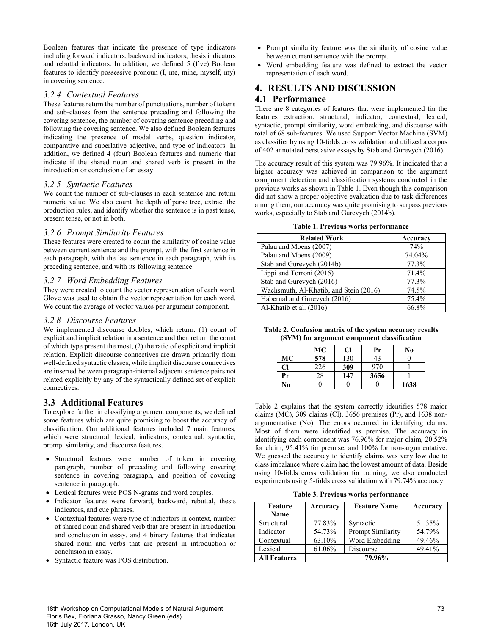Boolean features that indicate the presence of type indicators including forward indicators, backward indicators, thesis indicators and rebuttal indicators. In addition, we defined 5 (five) Boolean features to identify possessive pronoun (I, me, mine, myself, my) in covering sentence.

#### *3.2.4 Contextual Features*

These features return the number of punctuations, number of tokens and sub-clauses from the sentence preceding and following the covering sentence, the number of covering sentence preceding and following the covering sentence. We also defined Boolean features indicating the presence of modal verbs, question indicator, comparative and superlative adjective, and type of indicators. In addition, we defined 4 (four) Boolean features and numeric that indicate if the shared noun and shared verb is present in the introduction or conclusion of an essay.

#### *3.2.5 Syntactic Features*

We count the number of sub-clauses in each sentence and return numeric value. We also count the depth of parse tree, extract the production rules, and identify whether the sentence is in past tense, present tense, or not in both.

#### *3.2.6 Prompt Similarity Features*

These features were created to count the similarity of cosine value between current sentence and the prompt, with the first sentence in each paragraph, with the last sentence in each paragraph, with its preceding sentence, and with its following sentence.

#### *3.2.7 Word Embedding Features*

They were created to count the vector representation of each word. Glove was used to obtain the vector representation for each word. We count the average of vector values per argument component.

#### *3.2.8 Discourse Features*

We implemented discourse doubles, which return: (1) count of explicit and implicit relation in a sentence and then return the count of which type present the most, (2) the ratio of explicit and implicit relation. Explicit discourse connectives are drawn primarily from well-defined syntactic classes, while implicit discourse connectives are inserted between paragraph-internal adjacent sentence pairs not related explicitly by any of the syntactically defined set of explicit connectives.

# **3.3 Additional Features**

To explore further in classifying argument components, we defined some features which are quite promising to boost the accuracy of classification. Our additional features included 7 main features, which were structural, lexical, indicators, contextual, syntactic, prompt similarity, and discourse features.

- Structural features were number of token in covering paragraph, number of preceding and following covering sentence in covering paragraph, and position of covering sentence in paragraph.
- Lexical features were POS N-grams and word couples.
- Indicator features were forward, backward, rebuttal, thesis indicators, and cue phrases.
- Contextual features were type of indicators in context, number of shared noun and shared verb that are present in introduction and conclusion in essay, and 4 binary features that indicates shared noun and verbs that are present in introduction or conclusion in essay.
- Syntactic feature was POS distribution.
- Prompt similarity feature was the similarity of cosine value between current sentence with the prompt.
- Word embedding feature was defined to extract the vector representation of each word.

# **4. RESULTS AND DISCUSSION 4.1 Performance**

There are 8 categories of features that were implemented for the features extraction: structural, indicator, contextual, lexical, syntactic, prompt similarity, word embedding, and discourse with total of 68 sub-features. We used Support Vector Machine (SVM) as classifier by using 10-folds cross validation and utilized a corpus of 402 annotated persuasive essays by Stab and Gurevych (2016).

The accuracy result of this system was 79.96%. It indicated that a higher accuracy was achieved in comparison to the argument component detection and classification systems conducted in the previous works as shown in Table 1. Even though this comparison did not show a proper objective evaluation due to task differences among them, our accuracy was quite promising to surpass previous works, especially to Stab and Gurevych (2014b).

|  | Table 1. Previous works performance |
|--|-------------------------------------|
|  |                                     |

| <b>Related Work</b>                    | Accuracy |
|----------------------------------------|----------|
| Palau and Moens (2007)                 | 74%      |
| Palau and Moens (2009)                 | 74.04%   |
| Stab and Gurevych (2014b)              | 77.3%    |
| Lippi and Torroni (2015)               | 71.4%    |
| Stab and Gurevych (2016)               | 77.3%    |
| Wachsmuth, Al-Khatib, and Stein (2016) | 74.5%    |
| Habernal and Gurevych (2016)           | 75.4%    |
| Al-Khatib et al. (2016)                | 66.8%    |

| Table 2. Confusion matrix of the system accuracy results |  |
|----------------------------------------------------------|--|
| (SVM) for argument component classification              |  |

|    | MC  | Cl  | Pr   | No   |
|----|-----|-----|------|------|
| МC | 578 | 130 | 43   |      |
| Cl | 226 | 309 | 970  |      |
| Pr | 28  | 147 | 3656 |      |
| No |     |     |      | 1638 |

Table 2 explains that the system correctly identifies 578 major claims (MC), 309 claims (Cl), 3656 premises (Pr), and 1638 nonargumentative (No). The errors occurred in identifying claims. Most of them were identified as premise. The accuracy in identifying each component was 76.96% for major claim, 20.52% for claim, 95.41% for premise, and 100% for non-argumentative. We guessed the accuracy to identify claims was very low due to class imbalance where claim had the lowest amount of data. Beside using 10-folds cross validation for training, we also conducted experiments using 5-folds cross validation with 79.74% accuracy.

**Table 3. Previous works performance**

| Feature<br>Name     | Accuracy | <b>Feature Name</b> | Accuracy |
|---------------------|----------|---------------------|----------|
| Structural          | 77.83%   | Syntactic           | 51.35%   |
| Indicator           | 54.73%   | Prompt Similarity   | 54.79%   |
| Contextual          | 63.10%   | Word Embedding      | 49.46%   |
| Lexical             | 61.06%   | Discourse           | 49.41%   |
| <b>All Features</b> |          | 79.96%              |          |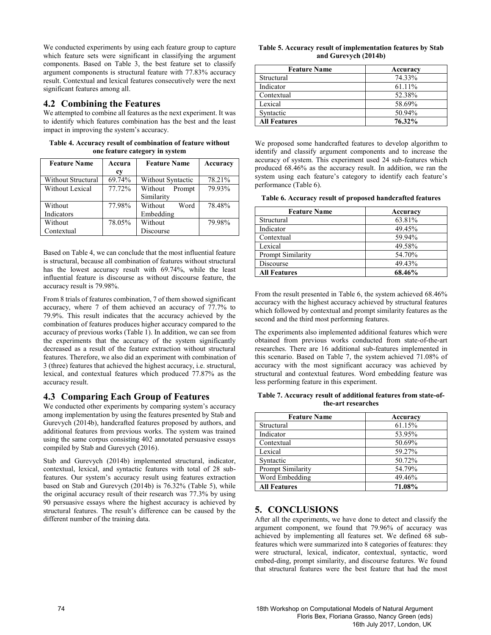We conducted experiments by using each feature group to capture which feature sets were significant in classifying the argument components. Based on Table 3, the best feature set to classify argument components is structural feature with 77.83% accuracy result. Contextual and lexical features consecutively were the next significant features among all.

#### **4.2 Combining the Features**

We attempted to combine all features as the next experiment. It was to identify which features combination has the best and the least impact in improving the system's accuracy.

**Table 4. Accuracy result of combination of feature without one feature category in system**

| <b>Feature Name</b> | Accura<br>cy | <b>Feature Name</b>             | Accuracy |
|---------------------|--------------|---------------------------------|----------|
| Without Structural  | 69.74%       | Without Syntactic               | 78.21%   |
| Without Lexical     | 77.72%       | Without<br>Prompt<br>Similarity | 79.93%   |
| Without             | 77.98%       | Without<br>Word                 | 78.48%   |
| Indicators          |              | Embedding                       |          |
| Without             | 78.05%       | Without                         | 79.98%   |
| Contextual          |              | Discourse                       |          |

Based on Table 4, we can conclude that the most influential feature is structural, because all combination of features without structural has the lowest accuracy result with 69.74%, while the least influential feature is discourse as without discourse feature, the accuracy result is 79.98%.

From 8 trials of features combination, 7 of them showed significant accuracy, where 7 of them achieved an accuracy of 77.7% to 79.9%. This result indicates that the accuracy achieved by the combination of features produces higher accuracy compared to the accuracy of previous works (Table 1). In addition, we can see from the experiments that the accuracy of the system significantly decreased as a result of the feature extraction without structural features. Therefore, we also did an experiment with combination of 3 (three) features that achieved the highest accuracy, i.e. structural, lexical, and contextual features which produced 77.87% as the accuracy result.

# **4.3 Comparing Each Group of Features**

We conducted other experiments by comparing system's accuracy among implementation by using the features presented by Stab and Gurevych (2014b), handcrafted features proposed by authors, and additional features from previous works. The system was trained using the same corpus consisting 402 annotated persuasive essays compiled by Stab and Gurevych (2016).

Stab and Gurevych (2014b) implemented structural, indicator, contextual, lexical, and syntactic features with total of 28 subfeatures. Our system's accuracy result using features extraction based on Stab and Gurevych (2014b) is 76.32% (Table 5), while the original accuracy result of their research was 77.3% by using 90 persuasive essays where the highest accuracy is achieved by structural features. The result's difference can be caused by the different number of the training data.

| Table 5. Accuracy result of implementation features by Stab |  |
|-------------------------------------------------------------|--|
| and Gurevych (2014b)                                        |  |

| <b>Feature Name</b> | Accuracy |  |
|---------------------|----------|--|
| Structural          | 74.33%   |  |
| Indicator           | 61.11%   |  |
| Contextual          | 52.38%   |  |
| Lexical             | 58.69%   |  |
| Syntactic           | 50.94%   |  |
| <b>All Features</b> | 76.32%   |  |

We proposed some handcrafted features to develop algorithm to identify and classify argument components and to increase the accuracy of system. This experiment used 24 sub-features which produced 68.46% as the accuracy result. In addition, we ran the system using each feature's category to identify each feature's performance (Table 6).

**Table 6. Accuracy result of proposed handcrafted features**

| <b>Feature Name</b> | Accuracy |
|---------------------|----------|
| Structural          | 63.81%   |
| Indicator           | 49.45%   |
| Contextual          | 59.94%   |
| Lexical             | 49.58%   |
| Prompt Similarity   | 54.70%   |
| Discourse           | 49.43%   |
| <b>All Features</b> | 68.46%   |

From the result presented in Table 6, the system achieved 68.46% accuracy with the highest accuracy achieved by structural features which followed by contextual and prompt similarity features as the second and the third most performing features.

The experiments also implemented additional features which were obtained from previous works conducted from state-of-the-art researches. There are 16 additional sub-features implemented in this scenario. Based on Table 7, the system achieved 71.08% of accuracy with the most significant accuracy was achieved by structural and contextual features. Word embedding feature was less performing feature in this experiment.

**Table 7. Accuracy result of additional features from state-ofthe-art researches**

| <b>Feature Name</b> | Accuracy |
|---------------------|----------|
| Structural          | 61.15%   |
| Indicator           | 53.95%   |
| Contextual          | 50.69%   |
| Lexical             | 59.27%   |
| Syntactic           | 50.72%   |
| Prompt Similarity   | 54.79%   |
| Word Embedding      | 49.46%   |
| <b>All Features</b> | 71.08%   |

# **5. CONCLUSIONS**

After all the experiments, we have done to detect and classify the argument component, we found that 79.96% of accuracy was achieved by implementing all features set. We defined 68 subfeatures which were summarized into 8 categories of features: they were structural, lexical, indicator, contextual, syntactic, word embed-ding, prompt similarity, and discourse features. We found that structural features were the best feature that had the most